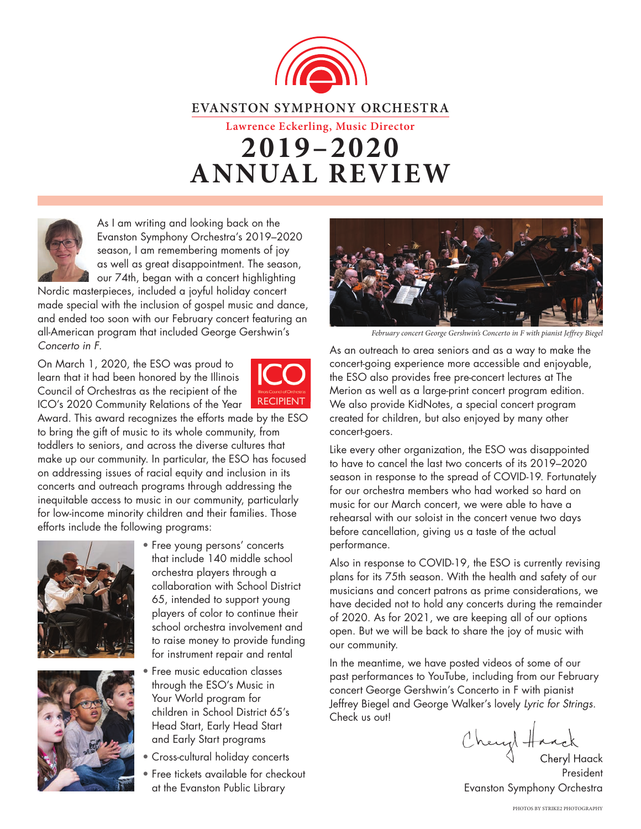



As I am writing and looking back on the Evanston Symphony Orchestra's 2019–2020 season, I am remembering moments of joy as well as great disappointment. The season, our 74th, began with a concert highlighting

Nordic masterpieces, included a joyful holiday concert made special with the inclusion of gospel music and dance, and ended too soon with our February concert featuring an all-American program that included George Gershwin's *Concerto in F*.

On March 1, 2020, the ESO was proud to learn that it had been honored by the Illinois Council of Orchestras as the recipient of the ICO's 2020 Community Relations of the Year



Award. This award recognizes the efforts made by the ESO to bring the gift of music to its whole community, from toddlers to seniors, and across the diverse cultures that make up our community. In particular, the ESO has focused on addressing issues of racial equity and inclusion in its concerts and outreach programs through addressing the inequitable access to music in our community, particularly for low-income minority children and their families. Those efforts include the following programs:





- Free young persons' concerts that include 140 middle school orchestra players through a collaboration with School District 65, intended to support young players of color to continue their school orchestra involvement and to raise money to provide funding for instrument repair and rental
- Free music education classes through the ESO's Music in Your World program for children in School District 65's Head Start, Early Head Start and Early Start programs
- Cross-cultural holiday concerts
- Free tickets available for checkout at the Evanston Public Library



February concert George Gershwin's Concerto in F with pianist Jeffrey Biegel

As an outreach to area seniors and as a way to make the concert-going experience more accessible and enjoyable, the ESO also provides free pre-concert lectures at The Merion as well as a large-print concert program edition. We also provide KidNotes, a special concert program created for children, but also enjoyed by many other concert-goers.

Like every other organization, the ESO was disappointed to have to cancel the last two concerts of its 2019–2020 season in response to the spread of COVID-19. Fortunately for our orchestra members who had worked so hard on music for our March concert, we were able to have a rehearsal with our soloist in the concert venue two days before cancellation, giving us a taste of the actual performance.

Also in response to COVID-19, the ESO is currently revising plans for its 75th season. With the health and safety of our musicians and concert patrons as prime considerations, we have decided not to hold any concerts during the remainder of 2020. As for 2021, we are keeping all of our options open. But we will be back to share the joy of music with our community.

In the meantime, we have posted videos of some of our past performances to YouTube, including from our February concert George Gershwin's Concerto in F with pianist Jeffrey Biegel and George Walker's lovely *Lyric for Strings*. Check us out!

Cheryl Haack Cheryl Ha

President Evanston Symphony Orchestra